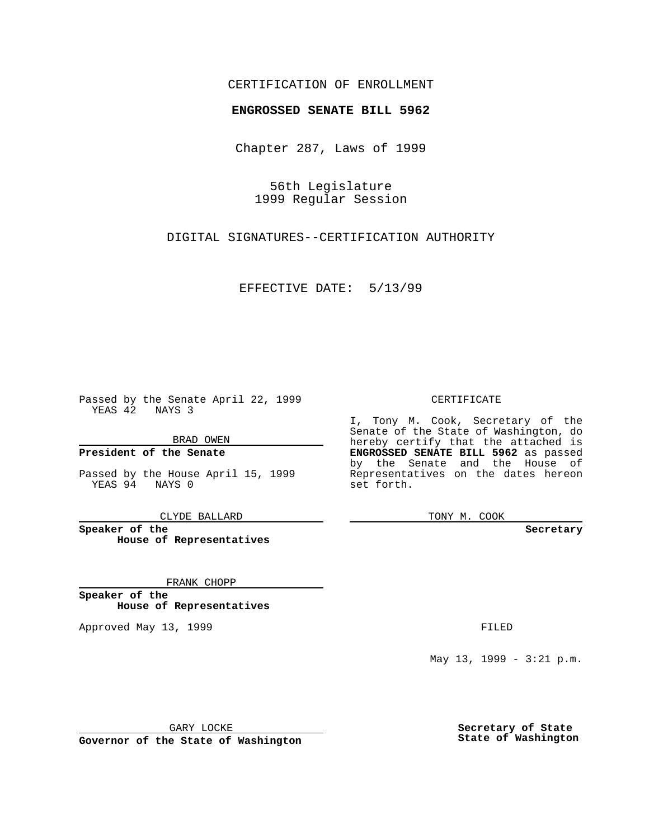## CERTIFICATION OF ENROLLMENT

## **ENGROSSED SENATE BILL 5962**

Chapter 287, Laws of 1999

56th Legislature 1999 Regular Session

DIGITAL SIGNATURES--CERTIFICATION AUTHORITY

EFFECTIVE DATE: 5/13/99

Passed by the Senate April 22, 1999 YEAS 42 NAYS 3

BRAD OWEN

**President of the Senate**

Passed by the House April 15, 1999 YEAS 94 NAYS 0

CLYDE BALLARD

**Speaker of the House of Representatives**

FRANK CHOPP

**Speaker of the House of Representatives**

Approved May 13, 1999 **FILED** 

CERTIFICATE

I, Tony M. Cook, Secretary of the Senate of the State of Washington, do hereby certify that the attached is **ENGROSSED SENATE BILL 5962** as passed by the Senate and the House of Representatives on the dates hereon set forth.

TONY M. COOK

**Secretary**

May 13, 1999 - 3:21 p.m.

GARY LOCKE

**Governor of the State of Washington**

**Secretary of State State of Washington**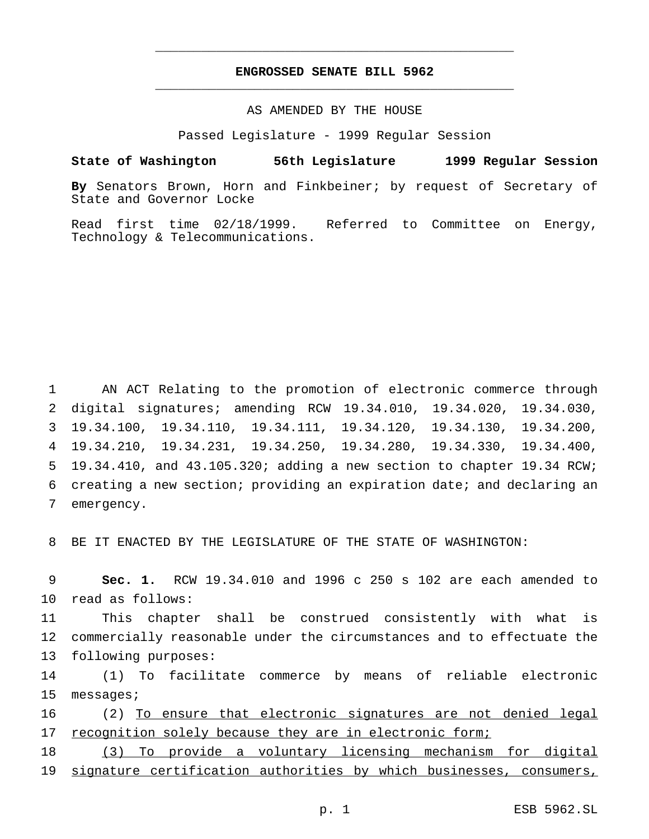## **ENGROSSED SENATE BILL 5962** \_\_\_\_\_\_\_\_\_\_\_\_\_\_\_\_\_\_\_\_\_\_\_\_\_\_\_\_\_\_\_\_\_\_\_\_\_\_\_\_\_\_\_\_\_\_\_

\_\_\_\_\_\_\_\_\_\_\_\_\_\_\_\_\_\_\_\_\_\_\_\_\_\_\_\_\_\_\_\_\_\_\_\_\_\_\_\_\_\_\_\_\_\_\_

### AS AMENDED BY THE HOUSE

Passed Legislature - 1999 Regular Session

#### **State of Washington 56th Legislature 1999 Regular Session**

**By** Senators Brown, Horn and Finkbeiner; by request of Secretary of State and Governor Locke

Read first time 02/18/1999. Referred to Committee on Energy, Technology & Telecommunications.

 AN ACT Relating to the promotion of electronic commerce through digital signatures; amending RCW 19.34.010, 19.34.020, 19.34.030, 19.34.100, 19.34.110, 19.34.111, 19.34.120, 19.34.130, 19.34.200, 19.34.210, 19.34.231, 19.34.250, 19.34.280, 19.34.330, 19.34.400, 19.34.410, and 43.105.320; adding a new section to chapter 19.34 RCW; creating a new section; providing an expiration date; and declaring an emergency.

8 BE IT ENACTED BY THE LEGISLATURE OF THE STATE OF WASHINGTON:

9 **Sec. 1.** RCW 19.34.010 and 1996 c 250 s 102 are each amended to 10 read as follows:

11 This chapter shall be construed consistently with what is 12 commercially reasonable under the circumstances and to effectuate the 13 following purposes:

14 (1) To facilitate commerce by means of reliable electronic 15 messages;

16 (2) To ensure that electronic signatures are not denied legal 17 recognition solely because they are in electronic form;

18 (3) To provide a voluntary licensing mechanism for digital 19 signature certification authorities by which businesses, consumers,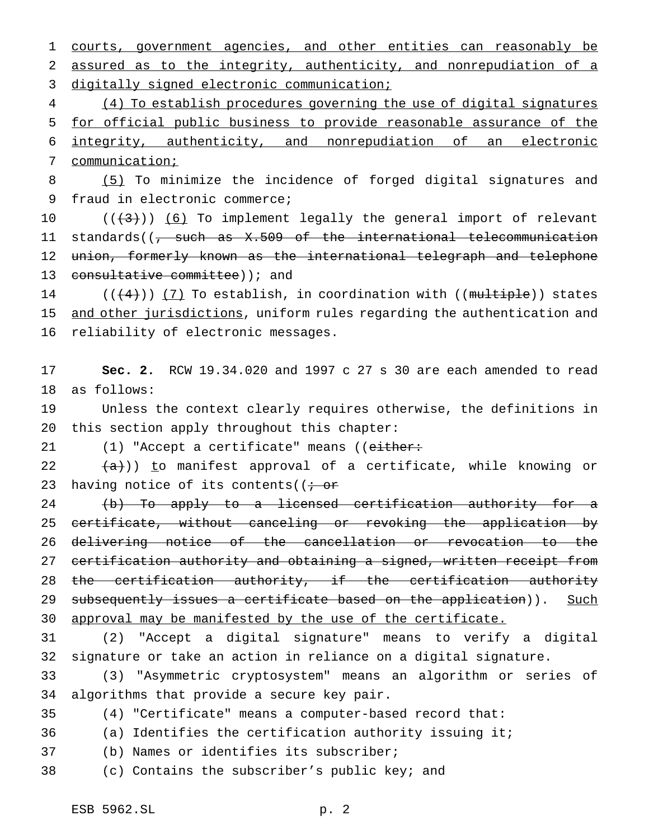courts, government agencies, and other entities can reasonably be assured as to the integrity, authenticity, and nonrepudiation of a digitally signed electronic communication;

 (4) To establish procedures governing the use of digital signatures for official public business to provide reasonable assurance of the integrity, authenticity, and nonrepudiation of an electronic communication;

 (5) To minimize the incidence of forged digital signatures and fraud in electronic commerce;

 $((+3))$   $(6)$  To implement legally the general import of relevant 11 standards((<del>, such as X.509 of the international telecommunication</del> 12 union, formerly known as the international telegraph and telephone 13 consultative committee) ); and

14 (((4))) (7) To establish, in coordination with ((multiple)) states 15 and other jurisdictions, uniform rules regarding the authentication and reliability of electronic messages.

 **Sec. 2.** RCW 19.34.020 and 1997 c 27 s 30 are each amended to read as follows:

 Unless the context clearly requires otherwise, the definitions in this section apply throughout this chapter:

21 (1) "Accept a certificate" means ((either:

 $(a)$ ) to manifest approval of a certificate, while knowing or 23 having notice of its contents( $(i - or)$ 

 (b) To apply to a licensed certification authority for a certificate, without canceling or revoking the application by delivering notice of the cancellation or revocation to the 27 certification authority and obtaining a signed, written receipt from 28 the certification authority, if the certification authority 29 subsequently issues a certificate based on the application)). Such 30 approval may be manifested by the use of the certificate.

 (2) "Accept a digital signature" means to verify a digital signature or take an action in reliance on a digital signature.

 (3) "Asymmetric cryptosystem" means an algorithm or series of algorithms that provide a secure key pair.

(4) "Certificate" means a computer-based record that:

(a) Identifies the certification authority issuing it;

(b) Names or identifies its subscriber;

(c) Contains the subscriber's public key; and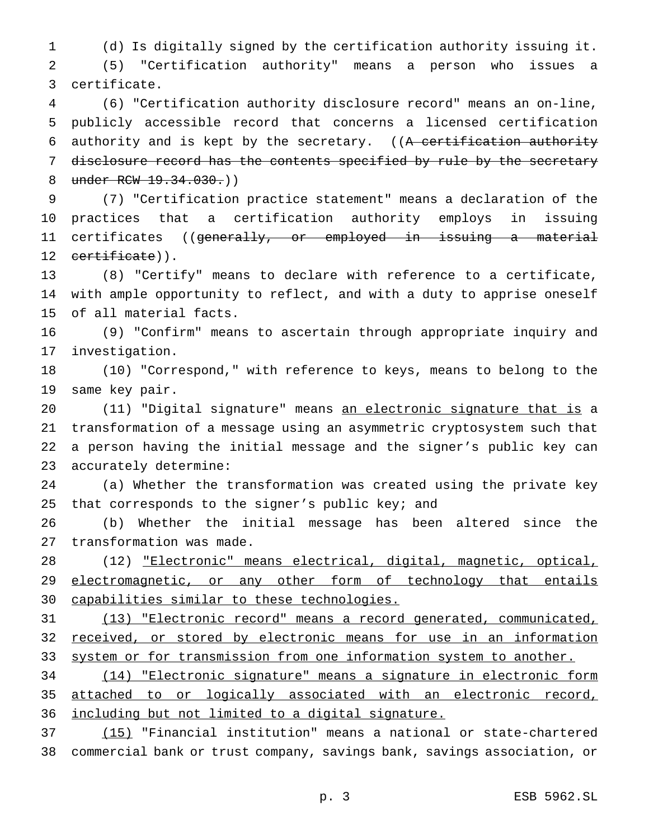(d) Is digitally signed by the certification authority issuing it.

 (5) "Certification authority" means a person who issues a certificate.

 (6) "Certification authority disclosure record" means an on-line, publicly accessible record that concerns a licensed certification 6 authority and is kept by the secretary. ((A certification authority 7 disclosure record has the contents specified by rule by the secretary 8 under RCW 19.34.030.)

 (7) "Certification practice statement" means a declaration of the practices that a certification authority employs in issuing 11 certificates ((<del>generally, or employed in issuing a material</del> 12 certificate)).

 (8) "Certify" means to declare with reference to a certificate, with ample opportunity to reflect, and with a duty to apprise oneself of all material facts.

 (9) "Confirm" means to ascertain through appropriate inquiry and investigation.

 (10) "Correspond," with reference to keys, means to belong to the same key pair.

 (11) "Digital signature" means an electronic signature that is a transformation of a message using an asymmetric cryptosystem such that a person having the initial message and the signer's public key can accurately determine:

 (a) Whether the transformation was created using the private key that corresponds to the signer's public key; and

 (b) Whether the initial message has been altered since the transformation was made.

 (12) "Electronic" means electrical, digital, magnetic, optical, 29 electromagnetic, or any other form of technology that entails capabilities similar to these technologies.

 (13) "Electronic record" means a record generated, communicated, 32 received, or stored by electronic means for use in an information 33 system or for transmission from one information system to another.

 (14) "Electronic signature" means a signature in electronic form attached to or logically associated with an electronic record, including but not limited to a digital signature.

 (15) "Financial institution" means a national or state-chartered commercial bank or trust company, savings bank, savings association, or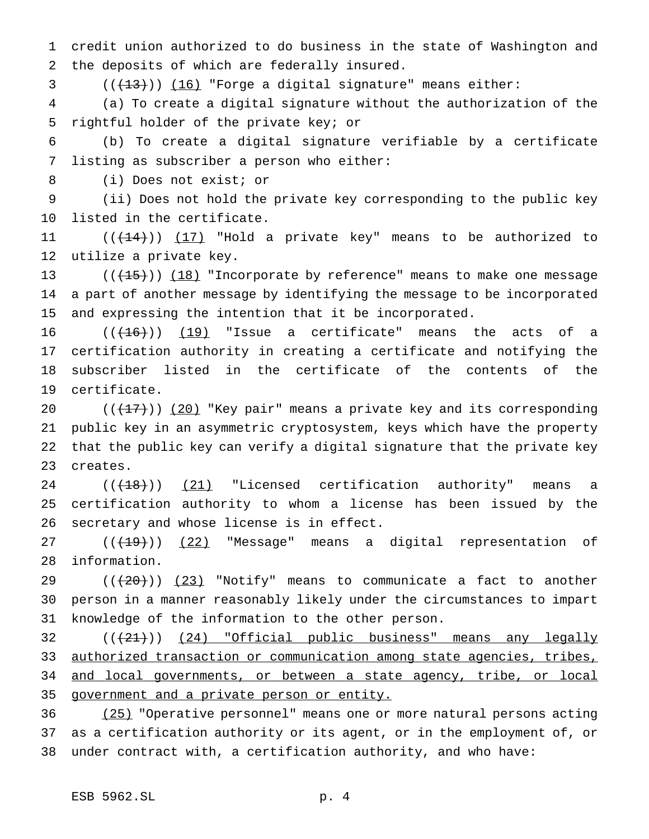credit union authorized to do business in the state of Washington and the deposits of which are federally insured.

 $((+13))$   $(16)$  "Forge a digital signature" means either:

 (a) To create a digital signature without the authorization of the rightful holder of the private key; or

 (b) To create a digital signature verifiable by a certificate listing as subscriber a person who either:

(i) Does not exist; or

 (ii) Does not hold the private key corresponding to the public key listed in the certificate.

11  $((+14))$   $(17)$  "Hold a private key" means to be authorized to utilize a private key.

13  $((+15))$  (18) "Incorporate by reference" means to make one message a part of another message by identifying the message to be incorporated and expressing the intention that it be incorporated.

 $((+16))$   $(19)$  "Issue a certificate" means the acts of a certification authority in creating a certificate and notifying the subscriber listed in the certificate of the contents of the certificate.

 $((+17))$   $(20)$  "Key pair" means a private key and its corresponding public key in an asymmetric cryptosystem, keys which have the property that the public key can verify a digital signature that the private key creates.

 $((+18))$   $(21)$  "Licensed certification authority" means a certification authority to whom a license has been issued by the secretary and whose license is in effect.

 $((+19))$   $(22)$  "Message" means a digital representation of information.

 ( $(\overline{20})$ ) (23) "Notify" means to communicate a fact to another person in a manner reasonably likely under the circumstances to impart knowledge of the information to the other person.

32 (( $(21)$ )) (24) "Official public business" means any legally 33 authorized transaction or communication among state agencies, tribes, 34 and local governments, or between a state agency, tribe, or local government and a private person or entity.

 (25) "Operative personnel" means one or more natural persons acting as a certification authority or its agent, or in the employment of, or under contract with, a certification authority, and who have: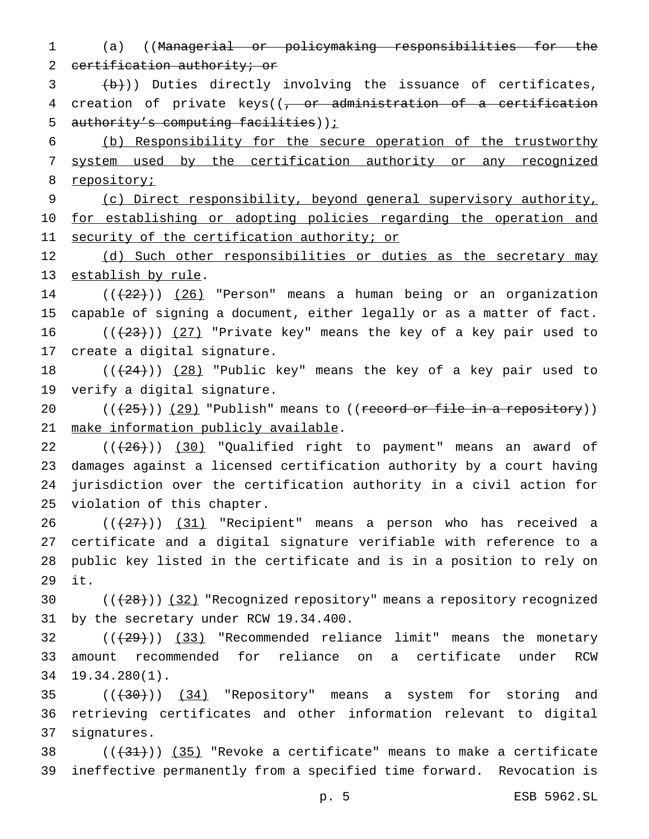(a) ((Managerial or policymaking responsibilities for the 2 certification authority; or

 $\left(\frac{b}{b}\right)$ ) Duties directly involving the issuance of certificates, 4 creation of private keys((, or administration of a certification 5 authority's computing facilities));

 (b) Responsibility for the secure operation of the trustworthy system used by the certification authority or any recognized 8 repository;

 (c) Direct responsibility, beyond general supervisory authority, 10 for establishing or adopting policies regarding the operation and 11 security of the certification authority; or

12 (d) Such other responsibilities or duties as the secretary may establish by rule.

14  $((+22))$   $(26)$  "Person" means a human being or an organization capable of signing a document, either legally or as a matter of fact. 16  $((+23))$   $(27)$  "Private key" means the key of a key pair used to

create a digital signature.

18  $((+24))$   $(28)$  "Public key" means the key of a key pair used to verify a digital signature.

 $((+25))$   $(29)$  "Publish" means to ((record or file in a repository)) make information publicly available.

 $((+26))$   $(30)$  "Qualified right to payment" means an award of damages against a licensed certification authority by a court having jurisdiction over the certification authority in a civil action for violation of this chapter.

 $((+27))$   $(31)$  "Recipient" means a person who has received a certificate and a digital signature verifiable with reference to a public key listed in the certificate and is in a position to rely on it.

30  $((+28))$   $(32)$  "Recognized repository" means a repository recognized by the secretary under RCW 19.34.400.

 $((+29))$   $(33)$  "Recommended reliance limit" means the monetary amount recommended for reliance on a certificate under RCW 19.34.280(1).

  $((+30))$   $(34)$  "Repository" means a system for storing and retrieving certificates and other information relevant to digital signatures.

 $((+31))$  (35) "Revoke a certificate" means to make a certificate ineffective permanently from a specified time forward. Revocation is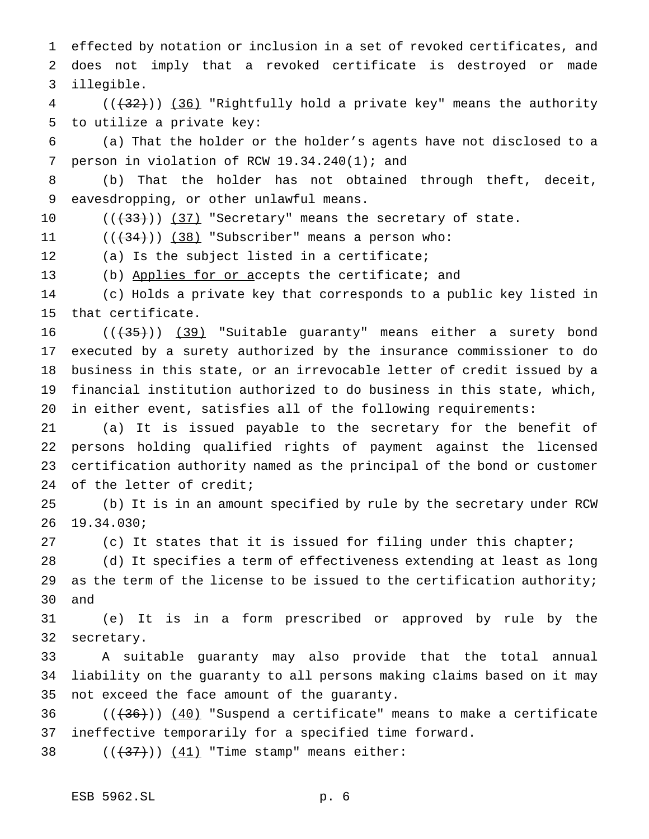effected by notation or inclusion in a set of revoked certificates, and does not imply that a revoked certificate is destroyed or made illegible.

 (( $(32)$ )) (36) "Rightfully hold a private key" means the authority to utilize a private key:

 (a) That the holder or the holder's agents have not disclosed to a person in violation of RCW 19.34.240(1); and

 (b) That the holder has not obtained through theft, deceit, eavesdropping, or other unlawful means.

10  $((+33))$   $(37)$  "Secretary" means the secretary of state.

 $((+34))$   $(38)$  "Subscriber" means a person who:

(a) Is the subject listed in a certificate;

(b) Applies for or accepts the certificate; and

 (c) Holds a private key that corresponds to a public key listed in that certificate.

 $((+35))$  (39) "Suitable guaranty" means either a surety bond executed by a surety authorized by the insurance commissioner to do business in this state, or an irrevocable letter of credit issued by a financial institution authorized to do business in this state, which, in either event, satisfies all of the following requirements:

 (a) It is issued payable to the secretary for the benefit of persons holding qualified rights of payment against the licensed certification authority named as the principal of the bond or customer 24 of the letter of credit;

 (b) It is in an amount specified by rule by the secretary under RCW 19.34.030;

(c) It states that it is issued for filing under this chapter;

 (d) It specifies a term of effectiveness extending at least as long 29 as the term of the license to be issued to the certification authority; and

 (e) It is in a form prescribed or approved by rule by the secretary.

 A suitable guaranty may also provide that the total annual liability on the guaranty to all persons making claims based on it may not exceed the face amount of the guaranty.

36  $((+36))$   $(40)$  "Suspend a certificate" means to make a certificate ineffective temporarily for a specified time forward.

38  $((+37))$   $(41)$  "Time stamp" means either: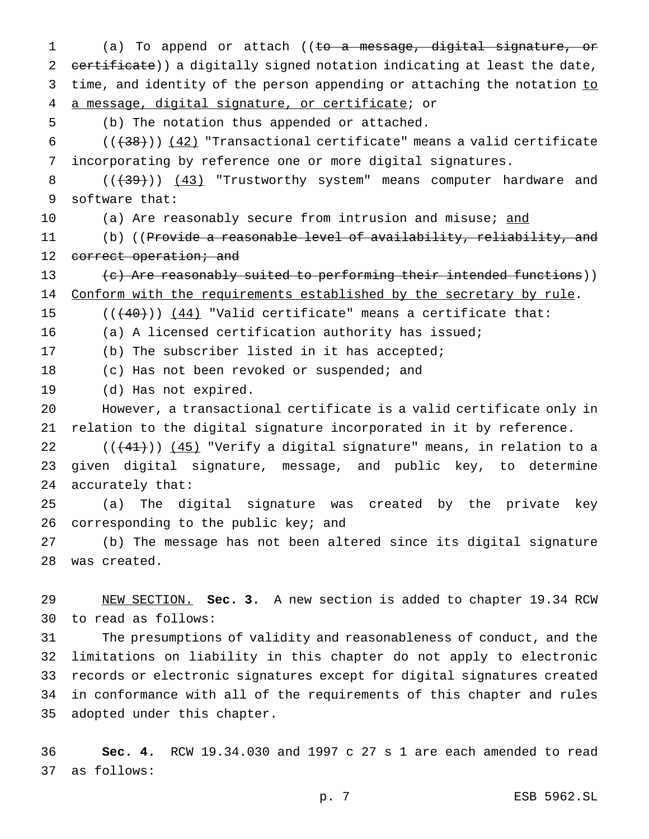(a) To append or attach ((to a message, digital signature, or 2 certificate)) a digitally signed notation indicating at least the date, 3 time, and identity of the person appending or attaching the notation to a message, digital signature, or certificate; or

(b) The notation thus appended or attached.

 $((+38))$   $(42)$  "Transactional certificate" means a valid certificate incorporating by reference one or more digital signatures.

8 (( $\left(\frac{1}{39}\right)$ ) (43) "Trustworthy system" means computer hardware and software that:

10 (a) Are reasonably secure from intrusion and misuse; and

11 (b) ((Provide a reasonable level of availability, reliability, and 12 correct operation; and

 (c) Are reasonably suited to performing their intended functions)) 14 Conform with the requirements established by the secretary by rule.

15  $((+40))$   $(44)$  "Valid certificate" means a certificate that:

(a) A licensed certification authority has issued;

(b) The subscriber listed in it has accepted;

(c) Has not been revoked or suspended; and

(d) Has not expired.

 However, a transactional certificate is a valid certificate only in relation to the digital signature incorporated in it by reference.

 $((+41))$   $(45)$  "Verify a digital signature" means, in relation to a given digital signature, message, and public key, to determine accurately that:

 (a) The digital signature was created by the private key 26 corresponding to the public key; and

 (b) The message has not been altered since its digital signature was created.

 NEW SECTION. **Sec. 3.** A new section is added to chapter 19.34 RCW to read as follows:

 The presumptions of validity and reasonableness of conduct, and the limitations on liability in this chapter do not apply to electronic records or electronic signatures except for digital signatures created in conformance with all of the requirements of this chapter and rules adopted under this chapter.

 **Sec. 4.** RCW 19.34.030 and 1997 c 27 s 1 are each amended to read as follows: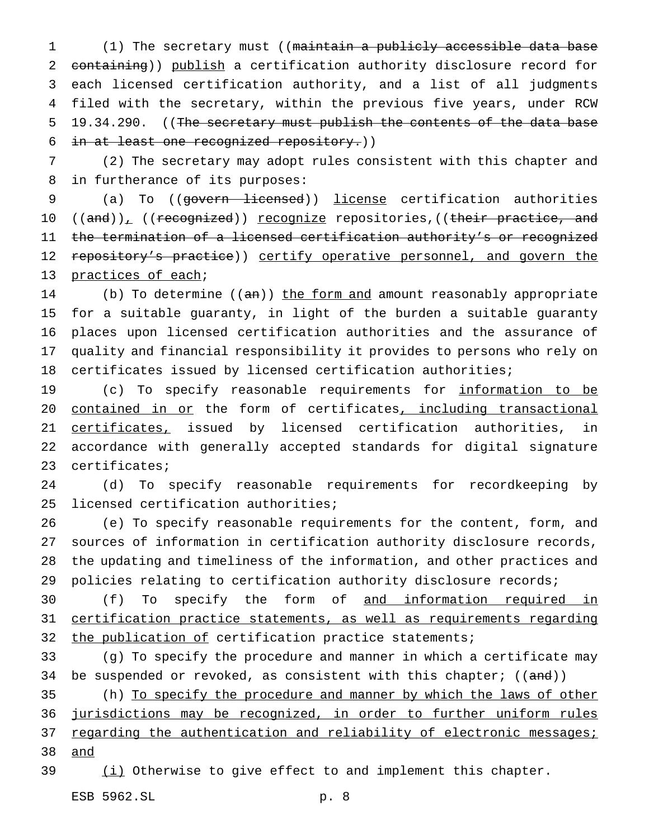(1) The secretary must ((maintain a publicly accessible data base containing)) publish a certification authority disclosure record for each licensed certification authority, and a list of all judgments filed with the secretary, within the previous five years, under RCW 5 19.34.290. ((The secretary must publish the contents of the data base in at least one recognized repository.))

 (2) The secretary may adopt rules consistent with this chapter and in furtherance of its purposes:

 (a) To ((govern licensed)) license certification authorities 10 ((and)), ((recognized)) <u>recognize</u> repositories,((their practice, and the termination of a licensed certification authority's or recognized 12 repository's practice)) certify operative personnel, and govern the practices of each;

14 (b) To determine ((an)) the form and amount reasonably appropriate for a suitable guaranty, in light of the burden a suitable guaranty places upon licensed certification authorities and the assurance of quality and financial responsibility it provides to persons who rely on certificates issued by licensed certification authorities;

19 (c) To specify reasonable requirements for information to be 20 contained in or the form of certificates, including transactional 21 certificates, issued by licensed certification authorities, in accordance with generally accepted standards for digital signature certificates;

 (d) To specify reasonable requirements for recordkeeping by licensed certification authorities;

 (e) To specify reasonable requirements for the content, form, and sources of information in certification authority disclosure records, the updating and timeliness of the information, and other practices and policies relating to certification authority disclosure records;

30 (f) To specify the form of and information required in certification practice statements, as well as requirements regarding 32 the publication of certification practice statements;

 (g) To specify the procedure and manner in which a certificate may 34 be suspended or revoked, as consistent with this chapter; ((and))

35 (h) To specify the procedure and manner by which the laws of other jurisdictions may be recognized, in order to further uniform rules 37 regarding the authentication and reliability of electronic messages; and

 $(i)$  Otherwise to give effect to and implement this chapter.

ESB 5962.SL p. 8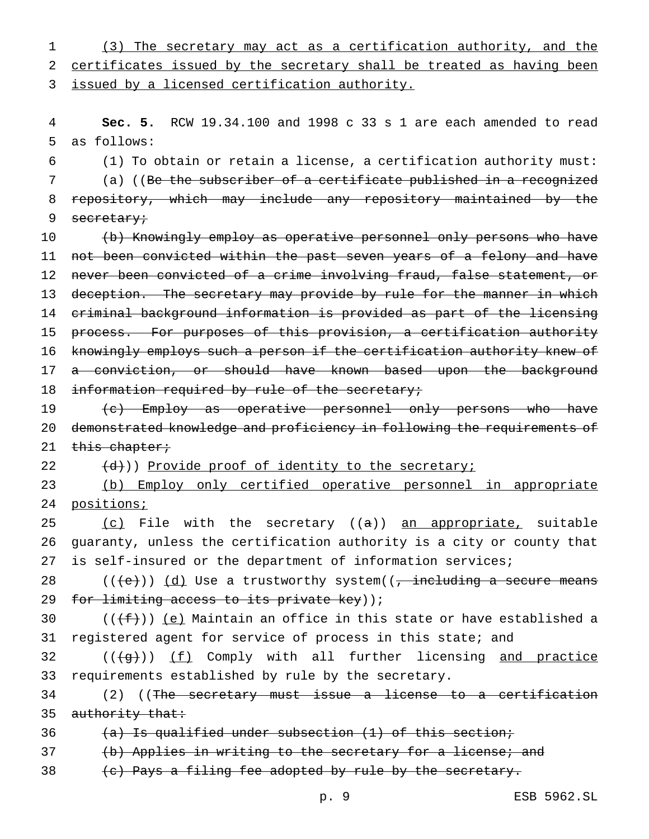1 (3) The secretary may act as a certification authority, and the 2 certificates issued by the secretary shall be treated as having been 3 issued by a licensed certification authority.

4 **Sec. 5.** RCW 19.34.100 and 1998 c 33 s 1 are each amended to read 5 as follows:

 (1) To obtain or retain a license, a certification authority must: (a) ((Be the subscriber of a certificate published in a recognized repository, which may include any repository maintained by the 9 secretary;

10 (b) Knowingly employ as operative personnel only persons who have 11 not been convicted within the past seven years of a felony and have 12 never been convicted of a crime involving fraud, false statement, or 13 deception. The secretary may provide by rule for the manner in which 14 criminal background information is provided as part of the licensing 15 process. For purposes of this provision, a certification authority 16 knowingly employs such a person if the certification authority knew of 17 a conviction, or should have known based upon the background 18 information required by rule of the secretary;

19 (c) Employ as operative personnel only persons who have 20 demonstrated knowledge and proficiency in following the requirements of 21 this chapter;

 $(22 \t (d))$ ) Provide proof of identity to the secretary;

23 (b) Employ only certified operative personnel in appropriate 24 positions;

25  $(c)$  File with the secretary  $((a))$  an appropriate, suitable 26 guaranty, unless the certification authority is a city or county that 27 is self-insured or the department of information services;

28 (( $\left(\frac{1}{e}\right)$ ) (d) Use a trustworthy system((, including a secure means 29 for limiting access to its private key));

30  $((\text{f}))(e)$  Maintain an office in this state or have established a 31 registered agent for service of process in this state; and

 $32$  (( $\left(\frac{1}{9}t\right)$ ) <u>(f)</u> Comply with all further licensing and practice 33 requirements established by rule by the secretary.

34 (2) ((The secretary must issue a license to a certification 35 authority that:

36  $(a)$  Is qualified under subsection  $(1)$  of this section;

37 (b) Applies in writing to the secretary for a license; and

38  $\left\{\n e\right\}$  Pays a filing fee adopted by rule by the secretary.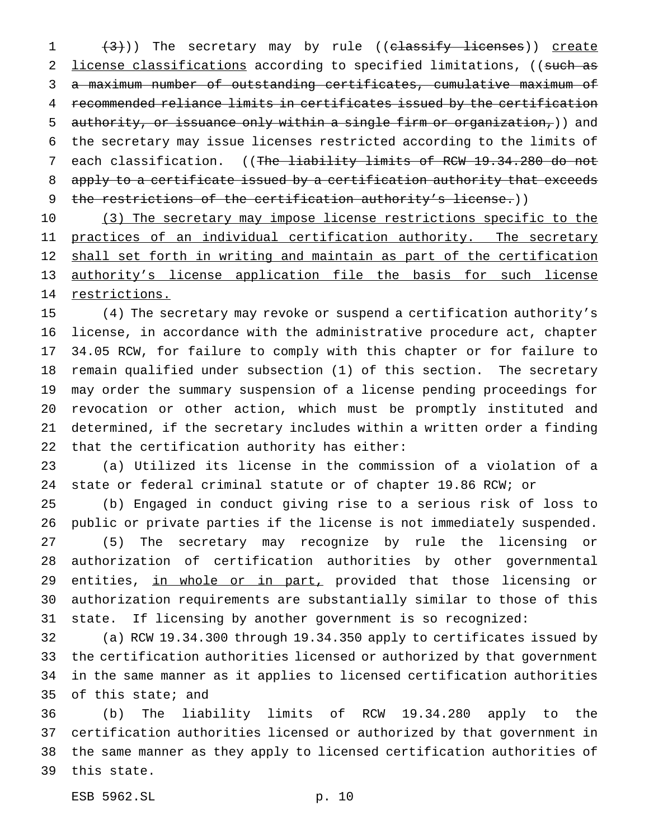1 (3))) The secretary may by rule ((classify licenses)) create 2 license classifications according to specified limitations, ((such as a maximum number of outstanding certificates, cumulative maximum of recommended reliance limits in certificates issued by the certification authority, or issuance only within a single firm or organization,)) and the secretary may issue licenses restricted according to the limits of 7 each classification. ((The liability limits of RCW 19.34.280 do not 8 apply to a certificate issued by a certification authority that exceeds 9 the restrictions of the certification authority's license.))

10 (3) The secretary may impose license restrictions specific to the 11 practices of an individual certification authority. The secretary 12 shall set forth in writing and maintain as part of the certification authority's license application file the basis for such license 14 restrictions.

 (4) The secretary may revoke or suspend a certification authority's license, in accordance with the administrative procedure act, chapter 34.05 RCW, for failure to comply with this chapter or for failure to remain qualified under subsection (1) of this section. The secretary may order the summary suspension of a license pending proceedings for revocation or other action, which must be promptly instituted and determined, if the secretary includes within a written order a finding that the certification authority has either:

 (a) Utilized its license in the commission of a violation of a state or federal criminal statute or of chapter 19.86 RCW; or

 (b) Engaged in conduct giving rise to a serious risk of loss to public or private parties if the license is not immediately suspended. (5) The secretary may recognize by rule the licensing or authorization of certification authorities by other governmental 29 entities, in whole or in part, provided that those licensing or authorization requirements are substantially similar to those of this state. If licensing by another government is so recognized:

 (a) RCW 19.34.300 through 19.34.350 apply to certificates issued by the certification authorities licensed or authorized by that government in the same manner as it applies to licensed certification authorities of this state; and

 (b) The liability limits of RCW 19.34.280 apply to the certification authorities licensed or authorized by that government in the same manner as they apply to licensed certification authorities of this state.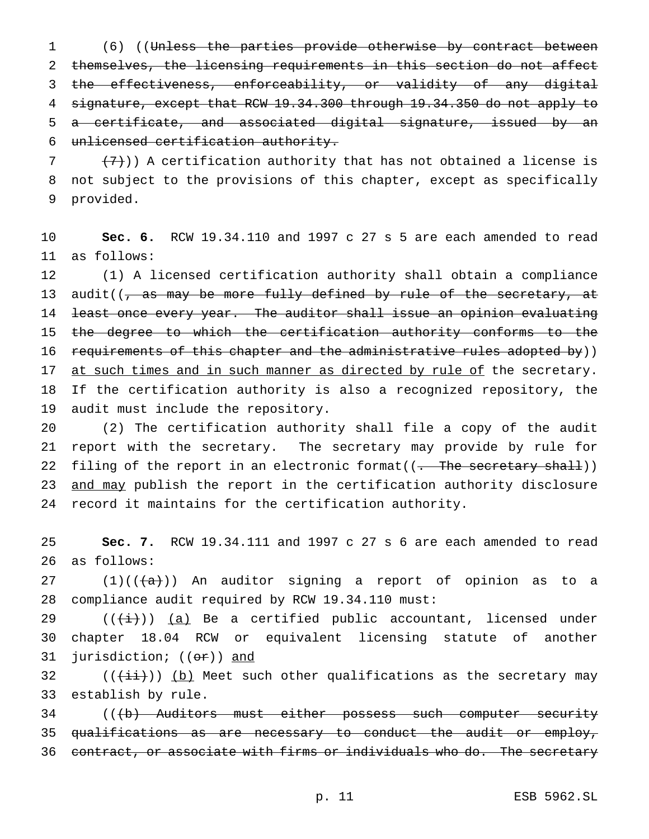(6) ((Unless the parties provide otherwise by contract between themselves, the licensing requirements in this section do not affect the effectiveness, enforceability, or validity of any digital signature, except that RCW 19.34.300 through 19.34.350 do not apply to a certificate, and associated digital signature, issued by an unlicensed certification authority.

7  $(7)$ )) A certification authority that has not obtained a license is not subject to the provisions of this chapter, except as specifically provided.

 **Sec. 6.** RCW 19.34.110 and 1997 c 27 s 5 are each amended to read as follows:

 (1) A licensed certification authority shall obtain a compliance 13 audit( $\sqrt{7}$  as may be more fully defined by rule of the secretary, at least once every year. The auditor shall issue an opinion evaluating 15 the degree to which the certification authority conforms to the 16 requirements of this chapter and the administrative rules adopted by)) 17 at such times and in such manner as directed by rule of the secretary. If the certification authority is also a recognized repository, the audit must include the repository.

 (2) The certification authority shall file a copy of the audit report with the secretary. The secretary may provide by rule for 22 filing of the report in an electronic format((<del>. The secretary shall</del>)) 23 and may publish the report in the certification authority disclosure record it maintains for the certification authority.

 **Sec. 7.** RCW 19.34.111 and 1997 c 27 s 6 are each amended to read as follows:

 $(1)((\{a\}))$  An auditor signing a report of opinion as to a compliance audit required by RCW 19.34.110 must:

29 ( $(\frac{1}{i})$ ) (a) Be a certified public accountant, licensed under chapter 18.04 RCW or equivalent licensing statute of another 31 jurisdiction; ((or)) and

32  $((\overrightarrow{\pm i}))$  (b) Meet such other qualifications as the secretary may establish by rule.

34 (((b) Auditors must either possess such computer security 35 qualifications as are necessary to conduct the audit or employ, contract, or associate with firms or individuals who do. The secretary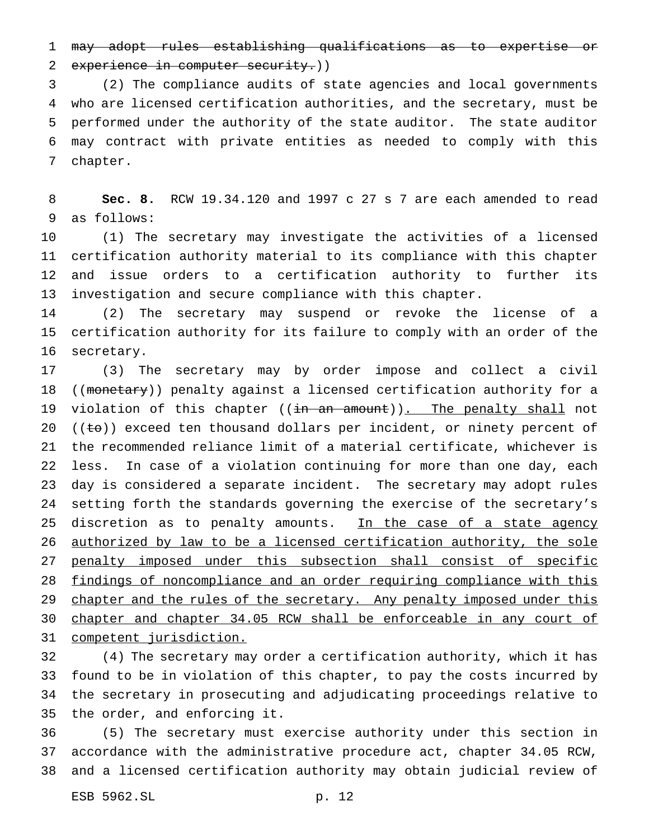may adopt rules establishing qualifications as to expertise or 2 experience in computer security.))

 (2) The compliance audits of state agencies and local governments who are licensed certification authorities, and the secretary, must be performed under the authority of the state auditor. The state auditor may contract with private entities as needed to comply with this chapter.

 **Sec. 8.** RCW 19.34.120 and 1997 c 27 s 7 are each amended to read as follows:

 (1) The secretary may investigate the activities of a licensed certification authority material to its compliance with this chapter and issue orders to a certification authority to further its investigation and secure compliance with this chapter.

 (2) The secretary may suspend or revoke the license of a certification authority for its failure to comply with an order of the secretary.

 (3) The secretary may by order impose and collect a civil 18 ((monetary)) penalty against a licensed certification authority for a 19 violation of this chapter ((in an amount)). The penalty shall not 20 ( $(\pm \theta)$ ) exceed ten thousand dollars per incident, or ninety percent of the recommended reliance limit of a material certificate, whichever is less. In case of a violation continuing for more than one day, each day is considered a separate incident. The secretary may adopt rules setting forth the standards governing the exercise of the secretary's 25 discretion as to penalty amounts. In the case of a state agency 26 authorized by law to be a licensed certification authority, the sole 27 penalty imposed under this subsection shall consist of specific findings of noncompliance and an order requiring compliance with this 29 chapter and the rules of the secretary. Any penalty imposed under this chapter and chapter 34.05 RCW shall be enforceable in any court of competent jurisdiction.

 (4) The secretary may order a certification authority, which it has found to be in violation of this chapter, to pay the costs incurred by the secretary in prosecuting and adjudicating proceedings relative to the order, and enforcing it.

 (5) The secretary must exercise authority under this section in accordance with the administrative procedure act, chapter 34.05 RCW, and a licensed certification authority may obtain judicial review of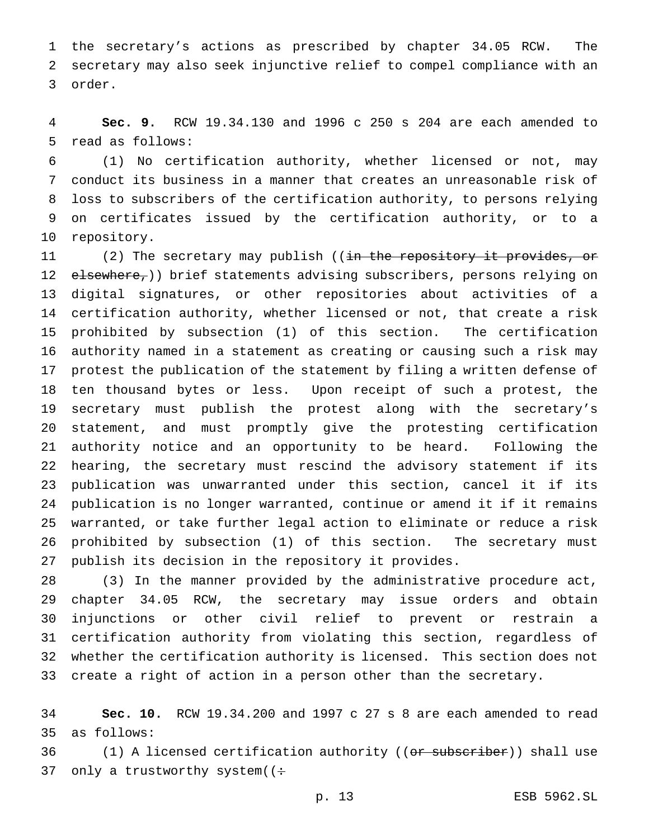the secretary's actions as prescribed by chapter 34.05 RCW. The secretary may also seek injunctive relief to compel compliance with an order.

 **Sec. 9.** RCW 19.34.130 and 1996 c 250 s 204 are each amended to read as follows:

 (1) No certification authority, whether licensed or not, may conduct its business in a manner that creates an unreasonable risk of loss to subscribers of the certification authority, to persons relying on certificates issued by the certification authority, or to a repository.

11 (2) The secretary may publish ((in the repository it provides, or 12 elsewhere,)) brief statements advising subscribers, persons relying on digital signatures, or other repositories about activities of a certification authority, whether licensed or not, that create a risk prohibited by subsection (1) of this section. The certification authority named in a statement as creating or causing such a risk may protest the publication of the statement by filing a written defense of ten thousand bytes or less. Upon receipt of such a protest, the secretary must publish the protest along with the secretary's statement, and must promptly give the protesting certification authority notice and an opportunity to be heard. Following the hearing, the secretary must rescind the advisory statement if its publication was unwarranted under this section, cancel it if its publication is no longer warranted, continue or amend it if it remains warranted, or take further legal action to eliminate or reduce a risk prohibited by subsection (1) of this section. The secretary must publish its decision in the repository it provides.

 (3) In the manner provided by the administrative procedure act, chapter 34.05 RCW, the secretary may issue orders and obtain injunctions or other civil relief to prevent or restrain a certification authority from violating this section, regardless of whether the certification authority is licensed. This section does not create a right of action in a person other than the secretary.

 **Sec. 10.** RCW 19.34.200 and 1997 c 27 s 8 are each amended to read as follows:

36 (1) A licensed certification authority ((<del>or subscriber</del>)) shall use 37 only a trustworthy system( $($ :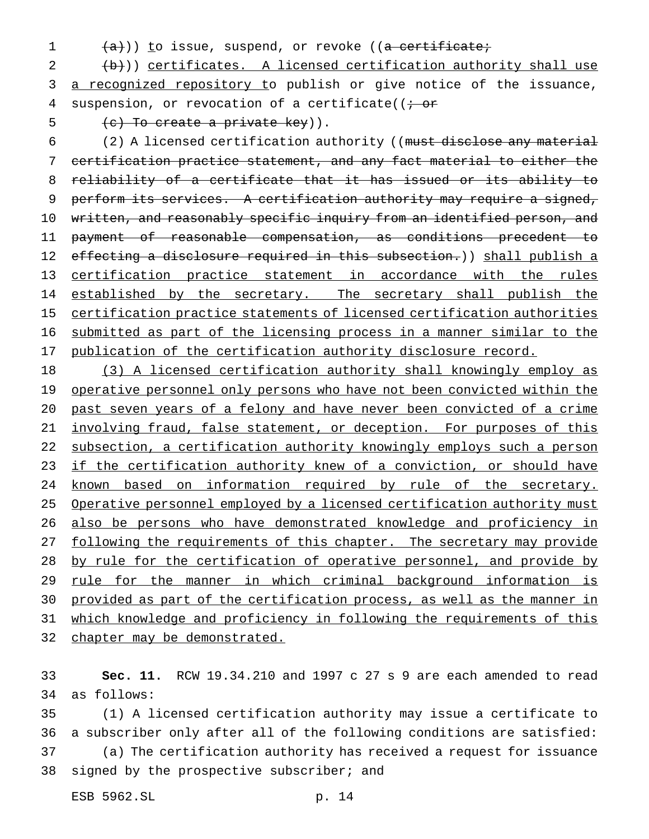- 
- $(1 + \frac{a}{a})$ ) to issue, suspend, or revoke ((a certificate;

 $2$   $(\frac{b}{b})$ ) certificates. A licensed certification authority shall use 3 a recognized repository to publish or give notice of the issuance, 4 suspension, or revocation of a certificate( $\overline{t}$  or

5  $(e)$  To create a private key)).

6 (2) A licensed certification authority ((must disclose any material certification practice statement, and any fact material to either the reliability of a certificate that it has issued or its ability to perform its services. A certification authority may require a signed, written, and reasonably specific inquiry from an identified person, and payment of reasonable compensation, as conditions precedent to 12 effecting a disclosure required in this subsection.)) shall publish a certification practice statement in accordance with the rules 14 established by the secretary. The secretary shall publish the certification practice statements of licensed certification authorities submitted as part of the licensing process in a manner similar to the 17 publication of the certification authority disclosure record.

18 (3) A licensed certification authority shall knowingly employ as 19 operative personnel only persons who have not been convicted within the 20 past seven years of a felony and have never been convicted of a crime 21 involving fraud, false statement, or deception. For purposes of this 22 subsection, a certification authority knowingly employs such a person 23 if the certification authority knew of a conviction, or should have 24 known based on information required by rule of the secretary. 25 Operative personnel employed by a licensed certification authority must 26 also be persons who have demonstrated knowledge and proficiency in 27 following the requirements of this chapter. The secretary may provide 28 by rule for the certification of operative personnel, and provide by 29 rule for the manner in which criminal background information is 30 provided as part of the certification process, as well as the manner in 31 which knowledge and proficiency in following the requirements of this 32 chapter may be demonstrated.

33 **Sec. 11.** RCW 19.34.210 and 1997 c 27 s 9 are each amended to read 34 as follows:

 (1) A licensed certification authority may issue a certificate to a subscriber only after all of the following conditions are satisfied: (a) The certification authority has received a request for issuance 38 signed by the prospective subscriber; and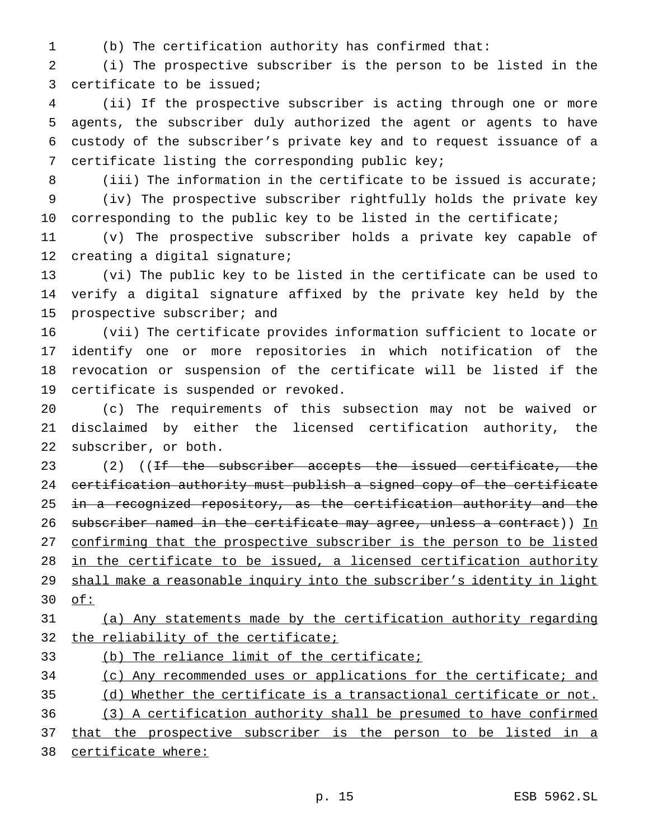(b) The certification authority has confirmed that:

 (i) The prospective subscriber is the person to be listed in the certificate to be issued;

 (ii) If the prospective subscriber is acting through one or more agents, the subscriber duly authorized the agent or agents to have custody of the subscriber's private key and to request issuance of a certificate listing the corresponding public key;

 (iii) The information in the certificate to be issued is accurate; (iv) The prospective subscriber rightfully holds the private key 10 corresponding to the public key to be listed in the certificate;

 (v) The prospective subscriber holds a private key capable of creating a digital signature;

 (vi) The public key to be listed in the certificate can be used to verify a digital signature affixed by the private key held by the prospective subscriber; and

 (vii) The certificate provides information sufficient to locate or identify one or more repositories in which notification of the revocation or suspension of the certificate will be listed if the certificate is suspended or revoked.

 (c) The requirements of this subsection may not be waived or disclaimed by either the licensed certification authority, the subscriber, or both.

23 (2) ((If the subscriber accepts the issued certificate, the certification authority must publish a signed copy of the certificate 25 in a recognized repository, as the certification authority and the 26 subscriber named in the certificate may agree, unless a contract)) In confirming that the prospective subscriber is the person to be listed in the certificate to be issued, a licensed certification authority shall make a reasonable inquiry into the subscriber's identity in light of:

# (a) Any statements made by the certification authority regarding 32 the reliability of the certificate;

(b) The reliance limit of the certificate;

34 (c) Any recommended uses or applications for the certificate; and (d) Whether the certificate is a transactional certificate or not.

 (3) A certification authority shall be presumed to have confirmed 37 that the prospective subscriber is the person to be listed in a

certificate where: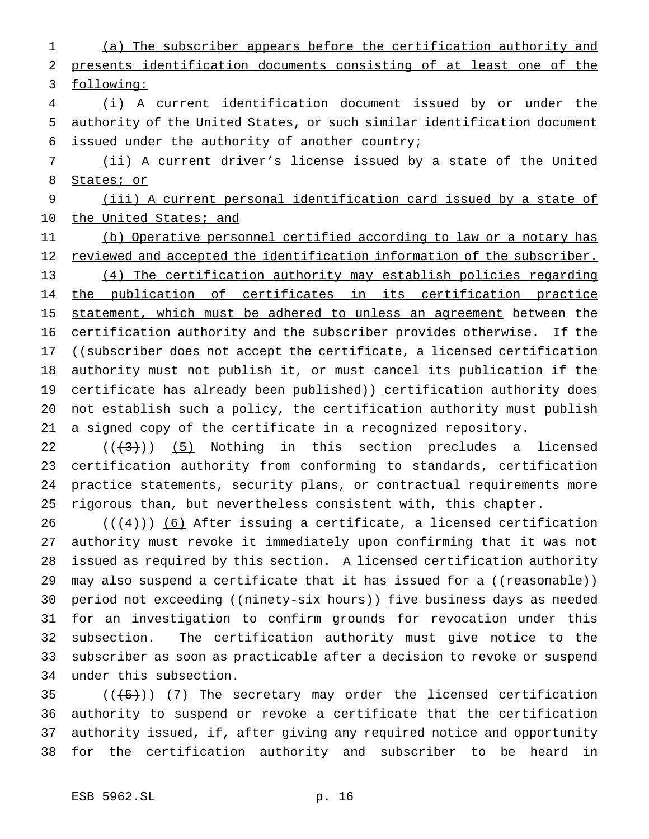(a) The subscriber appears before the certification authority and presents identification documents consisting of at least one of the following: (i) A current identification document issued by or under the authority of the United States, or such similar identification document

issued under the authority of another country;

 (ii) A current driver's license issued by a state of the United States; or

 (iii) A current personal identification card issued by a state of 10 the United States; and

 (b) Operative personnel certified according to law or a notary has 12 reviewed and accepted the identification information of the subscriber. (4) The certification authority may establish policies regarding the publication of certificates in its certification practice 15 statement, which must be adhered to unless an agreement between the certification authority and the subscriber provides otherwise. If the 17 ((subscriber does not accept the certificate, a licensed certification authority must not publish it, or must cancel its publication if the 19 certificate has already been published)) certification authority does not establish such a policy, the certification authority must publish a signed copy of the certificate in a recognized repository.

  $((+3))$   $(5)$  Nothing in this section precludes a licensed certification authority from conforming to standards, certification practice statements, security plans, or contractual requirements more rigorous than, but nevertheless consistent with, this chapter.

 $((+4))$  (6) After issuing a certificate, a licensed certification authority must revoke it immediately upon confirming that it was not issued as required by this section. A licensed certification authority 29 may also suspend a certificate that it has issued for a ((reasonable)) 30 period not exceeding ((ninety-six hours)) five business days as needed for an investigation to confirm grounds for revocation under this subsection. The certification authority must give notice to the subscriber as soon as practicable after a decision to revoke or suspend under this subsection.

 $((\frac{1}{5}))(7)$  The secretary may order the licensed certification authority to suspend or revoke a certificate that the certification authority issued, if, after giving any required notice and opportunity for the certification authority and subscriber to be heard in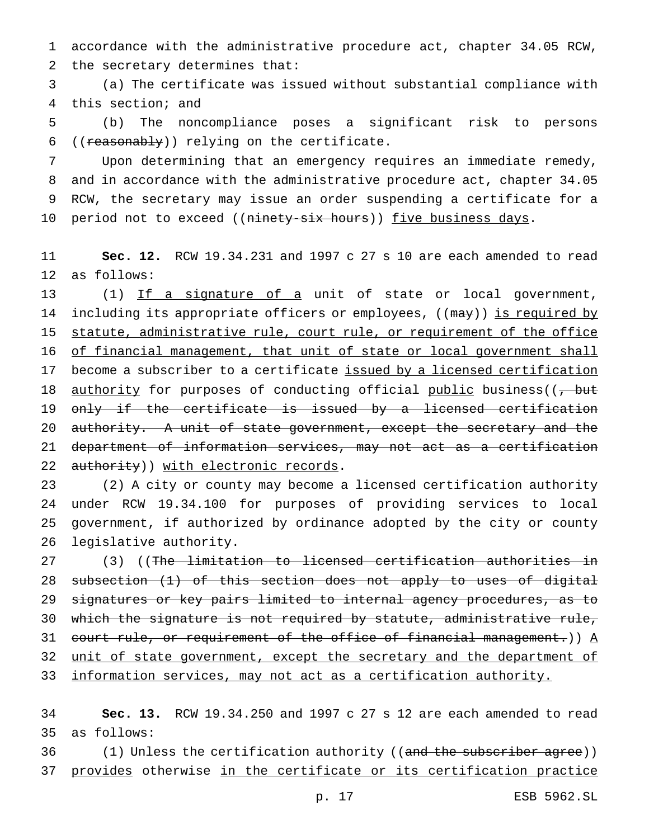1 accordance with the administrative procedure act, chapter 34.05 RCW, 2 the secretary determines that:

3 (a) The certificate was issued without substantial compliance with 4 this section; and

5 (b) The noncompliance poses a significant risk to persons 6 (( $r$ easonably)) relying on the certificate.

 Upon determining that an emergency requires an immediate remedy, and in accordance with the administrative procedure act, chapter 34.05 RCW, the secretary may issue an order suspending a certificate for a 10 period not to exceed ((ninety-six hours)) five business days.

11 **Sec. 12.** RCW 19.34.231 and 1997 c 27 s 10 are each amended to read 12 as follows:

13 (1) If a signature of a unit of state or local government, 14 including its appropriate officers or employees, ((may)) is required by 15 statute, administrative rule, court rule, or requirement of the office 16 of financial management, that unit of state or local government shall 17 become a subscriber to a certificate issued by a licensed certification 18 <u>authority</u> for purposes of conducting official public business((, but 19 only if the certificate is issued by a licensed certification 20 authority. A unit of state government, except the secretary and the 21 department of information services, may not act as a certification 22 authority)) with electronic records.

 (2) A city or county may become a licensed certification authority under RCW 19.34.100 for purposes of providing services to local government, if authorized by ordinance adopted by the city or county legislative authority.

27 (3) ((The limitation to licensed certification authorities in 28 subsection (1) of this section does not apply to uses of digital 29 signatures or key pairs limited to internal agency procedures, as to 30 which the signature is not required by statute, administrative rule, 31 court rule, or requirement of the office of financial management.))  $\underline{A}$ 32 unit of state government, except the secretary and the department of 33 information services, may not act as a certification authority.

34 **Sec. 13.** RCW 19.34.250 and 1997 c 27 s 12 are each amended to read 35 as follows:

36 (1) Unless the certification authority ((and the subscriber agree)) 37 provides otherwise in the certificate or its certification practice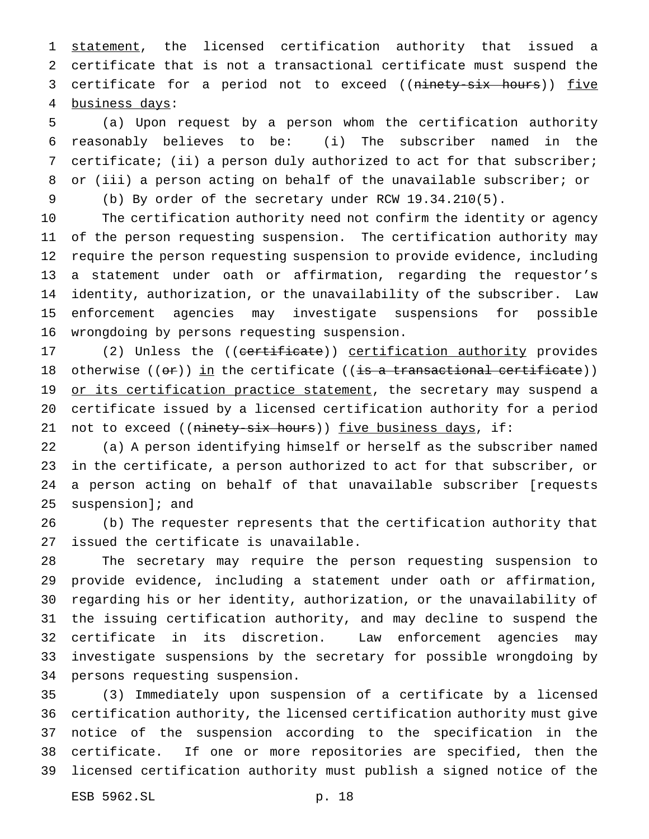1 statement, the licensed certification authority that issued a certificate that is not a transactional certificate must suspend the 3 certificate for a period not to exceed ((ninety-six hours)) five business days:

 (a) Upon request by a person whom the certification authority reasonably believes to be: (i) The subscriber named in the certificate; (ii) a person duly authorized to act for that subscriber; or (iii) a person acting on behalf of the unavailable subscriber; or (b) By order of the secretary under RCW 19.34.210(5).

 The certification authority need not confirm the identity or agency of the person requesting suspension. The certification authority may require the person requesting suspension to provide evidence, including a statement under oath or affirmation, regarding the requestor's identity, authorization, or the unavailability of the subscriber. Law enforcement agencies may investigate suspensions for possible wrongdoing by persons requesting suspension.

17 (2) Unless the ((certificate)) certification authority provides 18 otherwise (( $\Theta$ )) in the certificate (( $\frac{1}{15}$  a transactional certificate)) 19 or its certification practice statement, the secretary may suspend a certificate issued by a licensed certification authority for a period 21 not to exceed ((ninety-six hours)) five business days, if:

 (a) A person identifying himself or herself as the subscriber named in the certificate, a person authorized to act for that subscriber, or a person acting on behalf of that unavailable subscriber [requests suspension]; and

 (b) The requester represents that the certification authority that issued the certificate is unavailable.

 The secretary may require the person requesting suspension to provide evidence, including a statement under oath or affirmation, regarding his or her identity, authorization, or the unavailability of the issuing certification authority, and may decline to suspend the certificate in its discretion. Law enforcement agencies may investigate suspensions by the secretary for possible wrongdoing by persons requesting suspension.

 (3) Immediately upon suspension of a certificate by a licensed certification authority, the licensed certification authority must give notice of the suspension according to the specification in the certificate. If one or more repositories are specified, then the licensed certification authority must publish a signed notice of the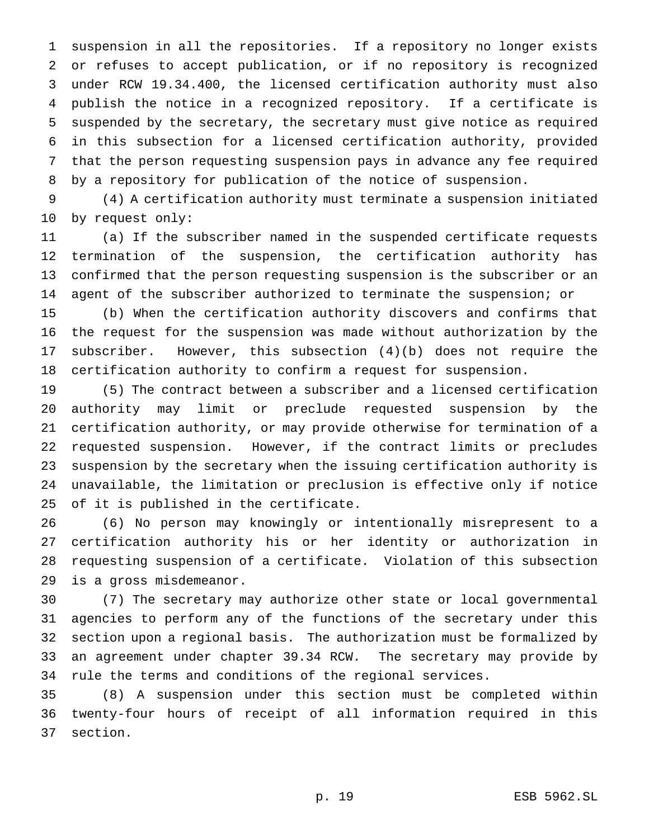suspension in all the repositories. If a repository no longer exists or refuses to accept publication, or if no repository is recognized under RCW 19.34.400, the licensed certification authority must also publish the notice in a recognized repository. If a certificate is suspended by the secretary, the secretary must give notice as required in this subsection for a licensed certification authority, provided that the person requesting suspension pays in advance any fee required by a repository for publication of the notice of suspension.

 (4) A certification authority must terminate a suspension initiated by request only:

 (a) If the subscriber named in the suspended certificate requests termination of the suspension, the certification authority has confirmed that the person requesting suspension is the subscriber or an agent of the subscriber authorized to terminate the suspension; or

 (b) When the certification authority discovers and confirms that the request for the suspension was made without authorization by the subscriber. However, this subsection (4)(b) does not require the certification authority to confirm a request for suspension.

 (5) The contract between a subscriber and a licensed certification authority may limit or preclude requested suspension by the certification authority, or may provide otherwise for termination of a requested suspension. However, if the contract limits or precludes suspension by the secretary when the issuing certification authority is unavailable, the limitation or preclusion is effective only if notice of it is published in the certificate.

 (6) No person may knowingly or intentionally misrepresent to a certification authority his or her identity or authorization in requesting suspension of a certificate. Violation of this subsection is a gross misdemeanor.

 (7) The secretary may authorize other state or local governmental agencies to perform any of the functions of the secretary under this section upon a regional basis. The authorization must be formalized by an agreement under chapter 39.34 RCW. The secretary may provide by rule the terms and conditions of the regional services.

 (8) A suspension under this section must be completed within twenty-four hours of receipt of all information required in this section.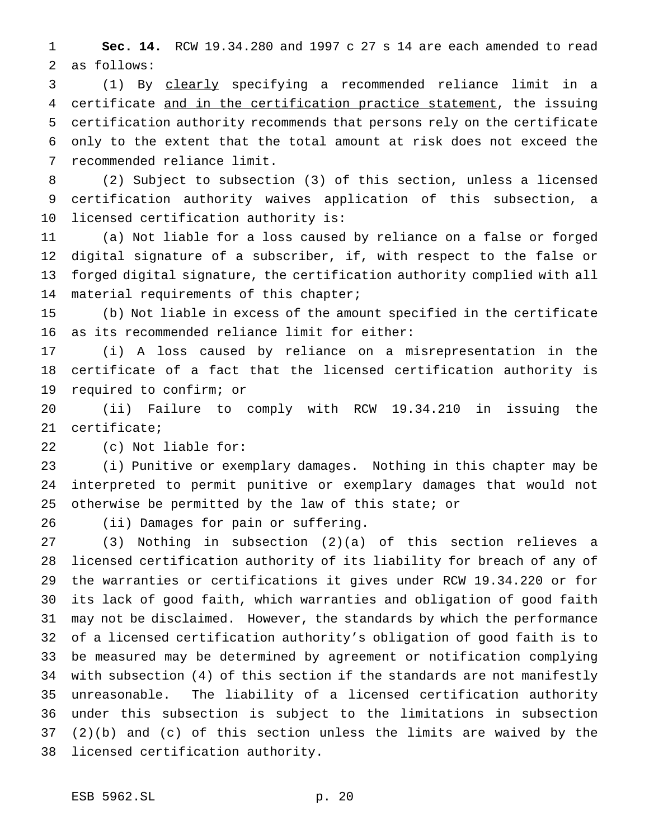**Sec. 14.** RCW 19.34.280 and 1997 c 27 s 14 are each amended to read as follows:

 (1) By clearly specifying a recommended reliance limit in a 4 certificate and in the certification practice statement, the issuing certification authority recommends that persons rely on the certificate only to the extent that the total amount at risk does not exceed the recommended reliance limit.

 (2) Subject to subsection (3) of this section, unless a licensed certification authority waives application of this subsection, a licensed certification authority is:

 (a) Not liable for a loss caused by reliance on a false or forged digital signature of a subscriber, if, with respect to the false or forged digital signature, the certification authority complied with all material requirements of this chapter;

 (b) Not liable in excess of the amount specified in the certificate as its recommended reliance limit for either:

 (i) A loss caused by reliance on a misrepresentation in the certificate of a fact that the licensed certification authority is required to confirm; or

 (ii) Failure to comply with RCW 19.34.210 in issuing the certificate;

(c) Not liable for:

 (i) Punitive or exemplary damages. Nothing in this chapter may be interpreted to permit punitive or exemplary damages that would not otherwise be permitted by the law of this state; or

(ii) Damages for pain or suffering.

 (3) Nothing in subsection (2)(a) of this section relieves a licensed certification authority of its liability for breach of any of the warranties or certifications it gives under RCW 19.34.220 or for its lack of good faith, which warranties and obligation of good faith may not be disclaimed. However, the standards by which the performance of a licensed certification authority's obligation of good faith is to be measured may be determined by agreement or notification complying with subsection (4) of this section if the standards are not manifestly unreasonable. The liability of a licensed certification authority under this subsection is subject to the limitations in subsection (2)(b) and (c) of this section unless the limits are waived by the licensed certification authority.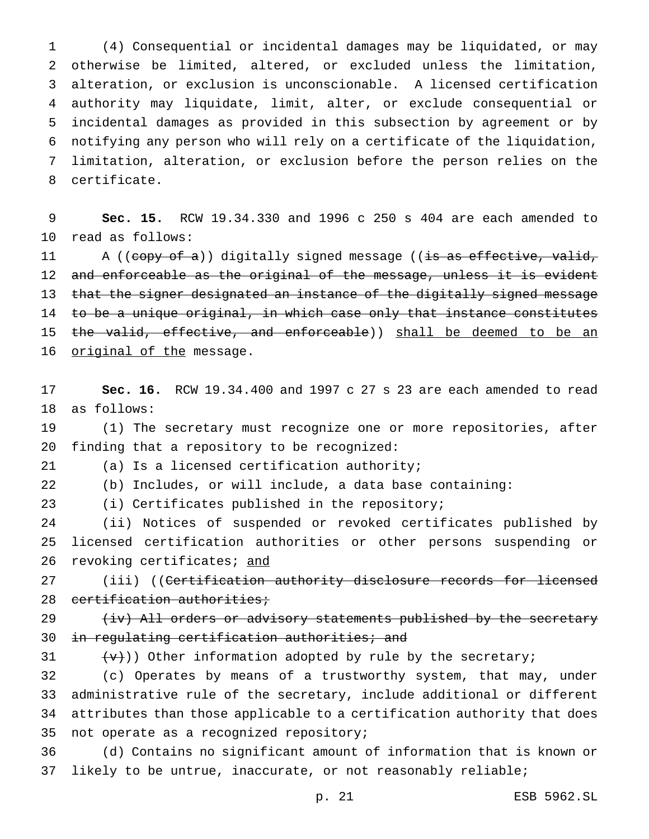(4) Consequential or incidental damages may be liquidated, or may otherwise be limited, altered, or excluded unless the limitation, alteration, or exclusion is unconscionable. A licensed certification authority may liquidate, limit, alter, or exclude consequential or incidental damages as provided in this subsection by agreement or by notifying any person who will rely on a certificate of the liquidation, limitation, alteration, or exclusion before the person relies on the certificate.

 **Sec. 15.** RCW 19.34.330 and 1996 c 250 s 404 are each amended to read as follows:

11 A ((copy of a)) digitally signed message ((is as effective, valid, 12 and enforceable as the original of the message, unless it is evident 13 that the signer designated an instance of the digitally signed message 14 to be a unique original, in which case only that instance constitutes 15 the valid, effective, and enforceable)) shall be deemed to be an 16 original of the message.

 **Sec. 16.** RCW 19.34.400 and 1997 c 27 s 23 are each amended to read as follows:

 (1) The secretary must recognize one or more repositories, after finding that a repository to be recognized:

(a) Is a licensed certification authority;

(b) Includes, or will include, a data base containing:

(i) Certificates published in the repository;

 (ii) Notices of suspended or revoked certificates published by licensed certification authorities or other persons suspending or 26 revoking certificates; and

27 (iii) ((<del>Certification authority disclosure records for licensed</del> 28 certification authorities;

29 (iv) All orders or advisory statements published by the secretary 30 in regulating certification authorities; and

31  $\{\forall\}$ )) Other information adopted by rule by the secretary;

 (c) Operates by means of a trustworthy system, that may, under administrative rule of the secretary, include additional or different attributes than those applicable to a certification authority that does not operate as a recognized repository;

 (d) Contains no significant amount of information that is known or likely to be untrue, inaccurate, or not reasonably reliable;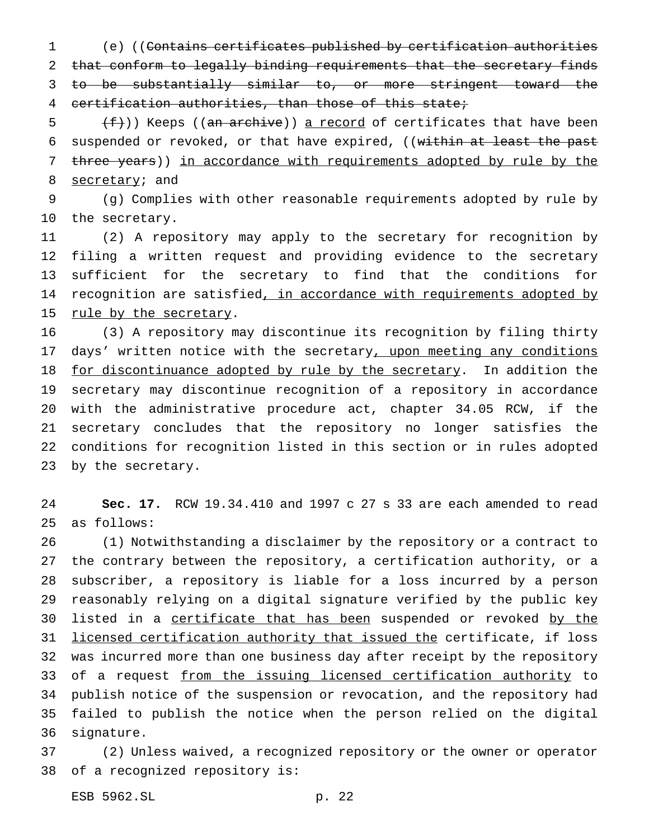(e) ((Contains certificates published by certification authorities that conform to legally binding requirements that the secretary finds to be substantially similar to, or more stringent toward the certification authorities, than those of this state;

 $\frac{f}{f}(f)$ ) Keeps ((an archive)) a record of certificates that have been 6 suspended or revoked, or that have expired, ((within at least the past 7 three years)) in accordance with requirements adopted by rule by the 8 secretary; and

 (g) Complies with other reasonable requirements adopted by rule by the secretary.

 (2) A repository may apply to the secretary for recognition by filing a written request and providing evidence to the secretary sufficient for the secretary to find that the conditions for 14 recognition are satisfied, in accordance with requirements adopted by 15 rule by the secretary.

 (3) A repository may discontinue its recognition by filing thirty 17 days' written notice with the secretary, upon meeting any conditions 18 for discontinuance adopted by rule by the secretary. In addition the secretary may discontinue recognition of a repository in accordance with the administrative procedure act, chapter 34.05 RCW, if the secretary concludes that the repository no longer satisfies the conditions for recognition listed in this section or in rules adopted by the secretary.

 **Sec. 17.** RCW 19.34.410 and 1997 c 27 s 33 are each amended to read as follows:

 (1) Notwithstanding a disclaimer by the repository or a contract to the contrary between the repository, a certification authority, or a subscriber, a repository is liable for a loss incurred by a person reasonably relying on a digital signature verified by the public key 30 listed in a certificate that has been suspended or revoked by the 31 licensed certification authority that issued the certificate, if loss was incurred more than one business day after receipt by the repository 33 of a request from the issuing licensed certification authority to publish notice of the suspension or revocation, and the repository had failed to publish the notice when the person relied on the digital signature.

 (2) Unless waived, a recognized repository or the owner or operator of a recognized repository is:

ESB 5962.SL p. 22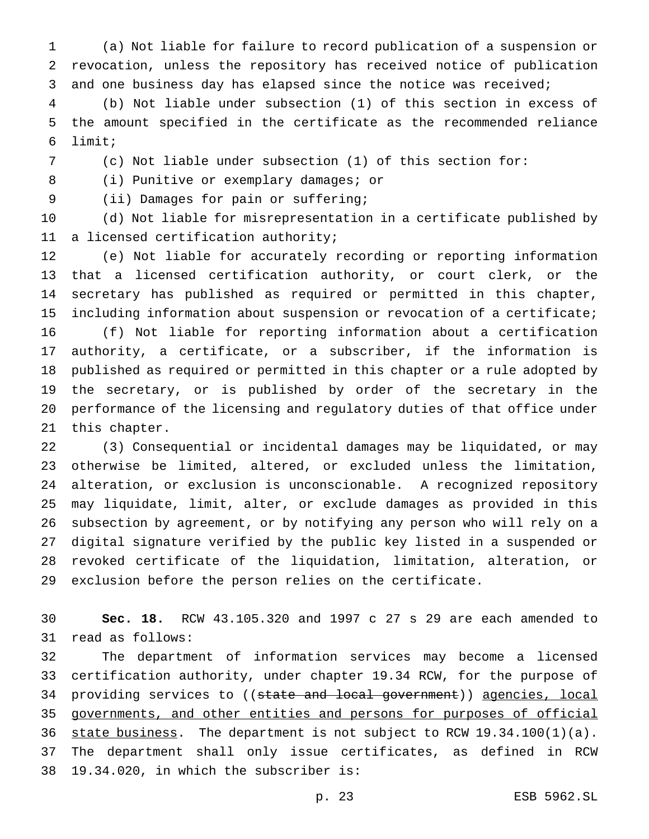(a) Not liable for failure to record publication of a suspension or revocation, unless the repository has received notice of publication and one business day has elapsed since the notice was received;

 (b) Not liable under subsection (1) of this section in excess of the amount specified in the certificate as the recommended reliance limit;

(c) Not liable under subsection (1) of this section for:

8 (i) Punitive or exemplary damages; or

(ii) Damages for pain or suffering;

 (d) Not liable for misrepresentation in a certificate published by a licensed certification authority;

 (e) Not liable for accurately recording or reporting information that a licensed certification authority, or court clerk, or the secretary has published as required or permitted in this chapter, including information about suspension or revocation of a certificate; (f) Not liable for reporting information about a certification authority, a certificate, or a subscriber, if the information is published as required or permitted in this chapter or a rule adopted by the secretary, or is published by order of the secretary in the performance of the licensing and regulatory duties of that office under this chapter.

 (3) Consequential or incidental damages may be liquidated, or may otherwise be limited, altered, or excluded unless the limitation, alteration, or exclusion is unconscionable. A recognized repository may liquidate, limit, alter, or exclude damages as provided in this subsection by agreement, or by notifying any person who will rely on a digital signature verified by the public key listed in a suspended or revoked certificate of the liquidation, limitation, alteration, or exclusion before the person relies on the certificate.

 **Sec. 18.** RCW 43.105.320 and 1997 c 27 s 29 are each amended to read as follows:

 The department of information services may become a licensed certification authority, under chapter 19.34 RCW, for the purpose of 34 providing services to ((state and local government)) agencies, local governments, and other entities and persons for purposes of official 36 state business. The department is not subject to RCW 19.34.100(1)(a). The department shall only issue certificates, as defined in RCW 19.34.020, in which the subscriber is: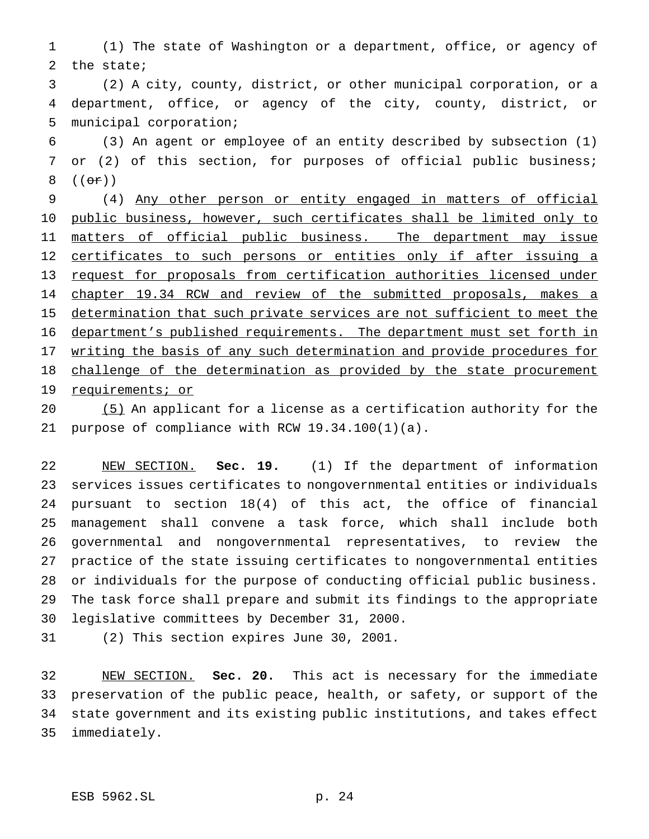(1) The state of Washington or a department, office, or agency of the state;

 (2) A city, county, district, or other municipal corporation, or a department, office, or agency of the city, county, district, or municipal corporation;

 (3) An agent or employee of an entity described by subsection (1) or (2) of this section, for purposes of official public business; 8  $((\theta \cdot \hat{r}))$ 

 (4) Any other person or entity engaged in matters of official public business, however, such certificates shall be limited only to 11 matters of official public business. The department may issue 12 certificates to such persons or entities only if after issuing a request for proposals from certification authorities licensed under chapter 19.34 RCW and review of the submitted proposals, makes a 15 determination that such private services are not sufficient to meet the department's published requirements. The department must set forth in writing the basis of any such determination and provide procedures for 18 challenge of the determination as provided by the state procurement 19 requirements; or

 (5) An applicant for a license as a certification authority for the purpose of compliance with RCW 19.34.100(1)(a).

 NEW SECTION. **Sec. 19.** (1) If the department of information services issues certificates to nongovernmental entities or individuals pursuant to section 18(4) of this act, the office of financial management shall convene a task force, which shall include both governmental and nongovernmental representatives, to review the practice of the state issuing certificates to nongovernmental entities or individuals for the purpose of conducting official public business. The task force shall prepare and submit its findings to the appropriate legislative committees by December 31, 2000.

(2) This section expires June 30, 2001.

 NEW SECTION. **Sec. 20.** This act is necessary for the immediate preservation of the public peace, health, or safety, or support of the state government and its existing public institutions, and takes effect immediately.